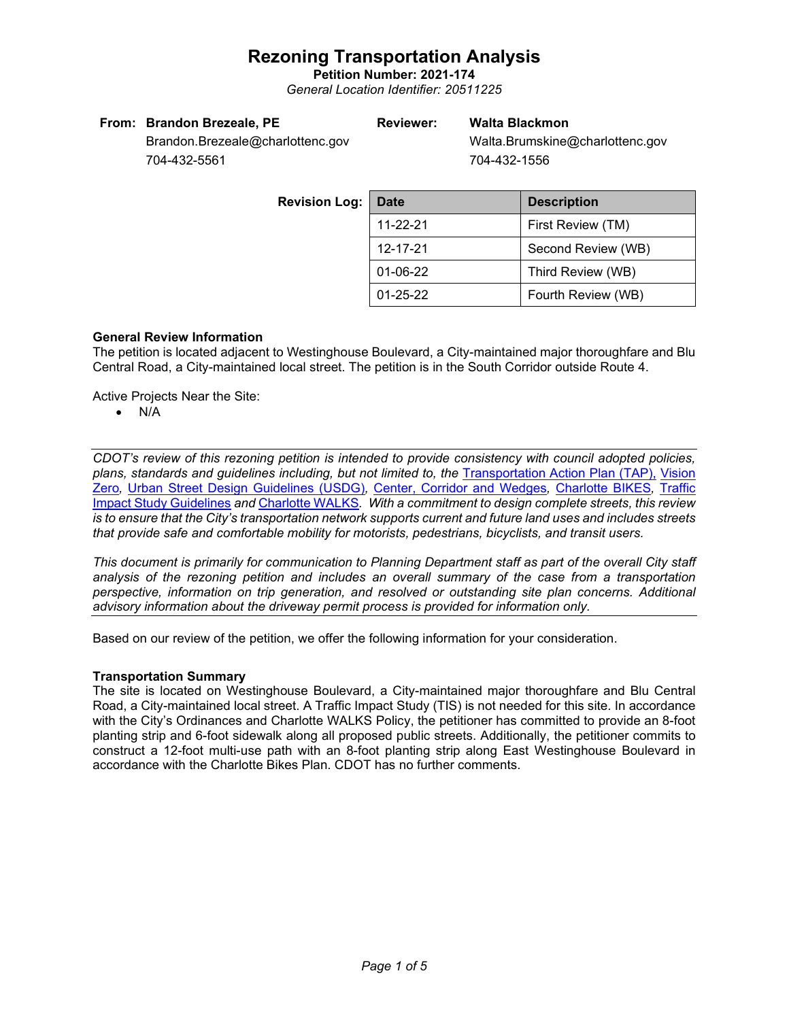**Petition Number: 2021-174** *General Location Identifier: 20511225*

|  | From: Brandon Brezeale, PE |  |  |
|--|----------------------------|--|--|
|--|----------------------------|--|--|

### **Reviewer: Walta Blackmon**

Walta.Brumskine@charlottenc.gov 704-432-1556

Brandon.Brezeale@charlottenc.gov 704-432-5561

> **Revision Log:** Date **Description** 11-22-21 First Review (TM) 12-17-21 Second Review (WB) 01-06-22 Third Review (WB) 01-25-22 Fourth Review (WB)

### **General Review Information**

The petition is located adjacent to Westinghouse Boulevard, a City-maintained major thoroughfare and Blu Central Road, a City-maintained local street. The petition is in the South Corridor outside Route 4.

Active Projects Near the Site:

• N/A

*CDOT's review of this rezoning petition is intended to provide consistency with council adopted policies, plans, standards and guidelines including, but not limited to, the* [Transportation Action Plan \(TAP\),](https://charlottenc.gov/Transportation/Programs/Pages/TransportationActionPlan.aspx) [Vision](https://charlottenc.gov/VisionZero/Pages/VisionZero.aspx)  [Zero](https://charlottenc.gov/VisionZero/Pages/VisionZero.aspx)*,* [Urban Street Design Guidelines \(USDG\)](https://charlottenc.gov/Transportation/PlansProjects/Documents/USDG%20Full%20Document.pdf)*,* [Center, Corridor and Wedges](http://ww.charmeck.org/Planning/Land%20Use%20Planning/CentersCorridorsWedges/CentersCorridorsWedges(Adopted).pdf)*,* [Charlotte BIKES](https://charlottenc.gov/Transportation/Programs/Pages/Bicycle.aspx)*,* [Traffic](https://charlottenc.gov/Transportation/Permits/Documents/TISProcessandGuildlines.pdf)  [Impact Study Guidelines](https://charlottenc.gov/Transportation/Permits/Documents/TISProcessandGuildlines.pdf) *and* [Charlotte](https://charlottenc.gov/Transportation/Programs/Pages/CharlotteWalks.aspx) WALKS*. With a commitment to design complete streets, this review is to ensure that the City's transportation network supports current and future land uses and includes streets that provide safe and comfortable mobility for motorists, pedestrians, bicyclists, and transit users.*

*This document is primarily for communication to Planning Department staff as part of the overall City staff analysis of the rezoning petition and includes an overall summary of the case from a transportation perspective, information on trip generation, and resolved or outstanding site plan concerns. Additional advisory information about the driveway permit process is provided for information only.*

Based on our review of the petition, we offer the following information for your consideration.

### **Transportation Summary**

The site is located on Westinghouse Boulevard, a City-maintained major thoroughfare and Blu Central Road, a City-maintained local street. A Traffic Impact Study (TIS) is not needed for this site. In accordance with the City's Ordinances and Charlotte WALKS Policy, the petitioner has committed to provide an 8-foot planting strip and 6-foot sidewalk along all proposed public streets. Additionally, the petitioner commits to construct a 12-foot multi-use path with an 8-foot planting strip along East Westinghouse Boulevard in accordance with the Charlotte Bikes Plan. CDOT has no further comments.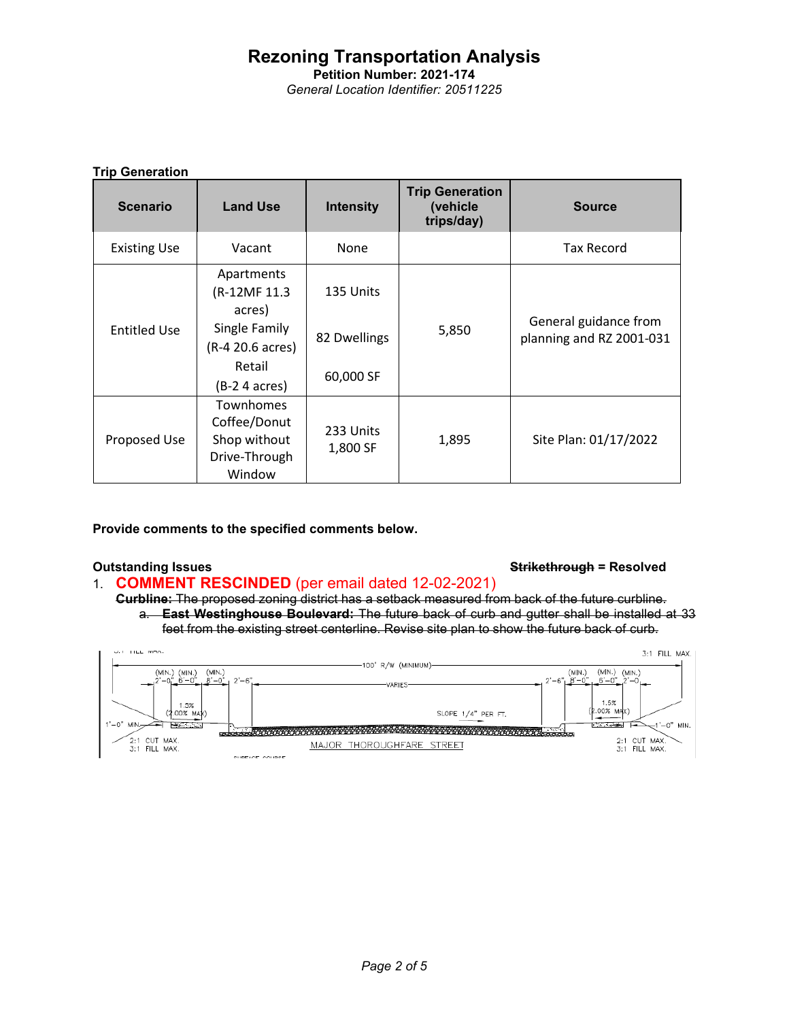**Petition Number: 2021-174** *General Location Identifier: 20511225*

### **Trip Generation**

| <b>Scenario</b>     | <b>Land Use</b>                                                             | <b>Intensity</b>      | <b>Trip Generation</b><br>(vehicle<br>trips/day) | <b>Source</b>                                     |
|---------------------|-----------------------------------------------------------------------------|-----------------------|--------------------------------------------------|---------------------------------------------------|
| <b>Existing Use</b> | Vacant                                                                      | None                  |                                                  | <b>Tax Record</b>                                 |
| <b>Entitled Use</b> | Apartments<br>(R-12MF 11.3)<br>acres)                                       | 135 Units             |                                                  |                                                   |
|                     | Single Family<br>(R-4 20.6 acres)                                           | 82 Dwellings          | 5,850                                            | General guidance from<br>planning and RZ 2001-031 |
|                     | Retail<br>(B-2 4 acres)                                                     | 60,000 SF             |                                                  |                                                   |
| Proposed Use        | <b>Townhomes</b><br>Coffee/Donut<br>Shop without<br>Drive-Through<br>Window | 233 Units<br>1,800 SF | 1,895                                            | Site Plan: 01/17/2022                             |

**Provide comments to the specified comments below.** 

### **Outstanding Issues Strikethrough = Resolved**

- 1. **COMMENT RESCINDED** (per email dated 12-02-2021)
	- **Curbline:** The proposed zoning district has a setback measured from back of the future curbline. a. **East Westinghouse Boulevard:** The future back of curb and gutter shall be installed at 33 feet from the existing street centerline. Revise site plan to show the future back of curb.

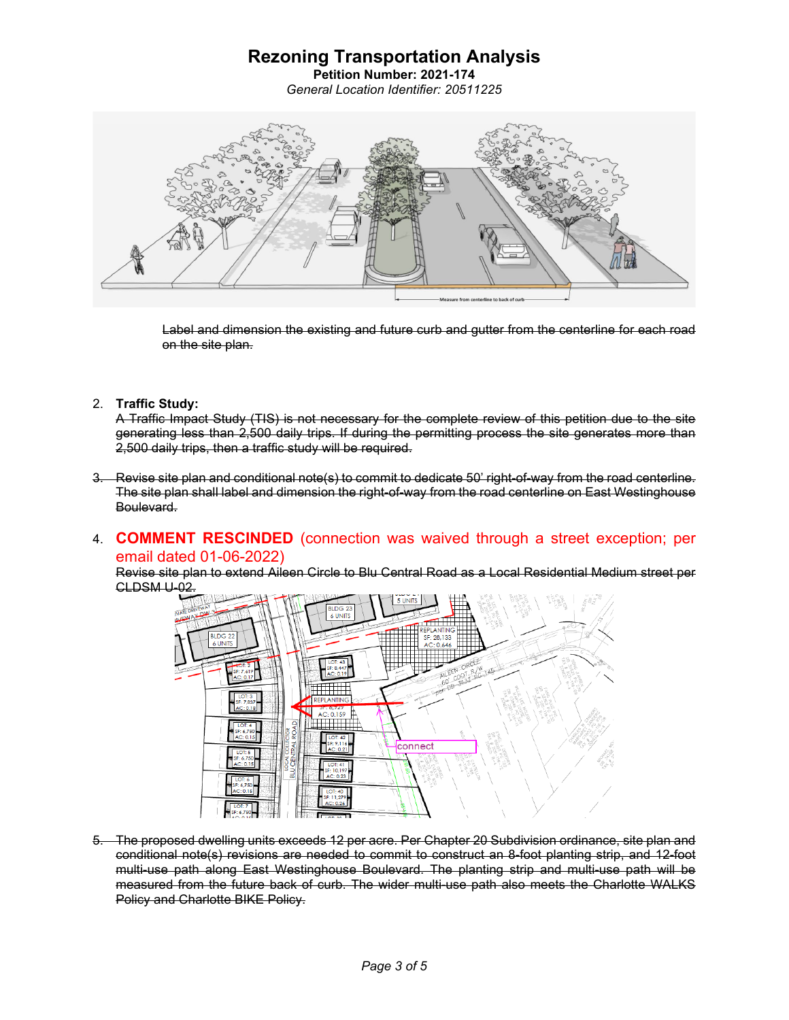**Petition Number: 2021-174** *General Location Identifier: 20511225*



Label and dimension the existing and future curb and gutter from the centerline for each road on the site plan.

2. **Traffic Study:**

A Traffic Impact Study (TIS) is not necessary for the complete review of this petition due to the site generating less than 2,500 daily trips. If during the permitting process the site generates more than 2,500 daily trips, then a traffic study will be required.

- 3. Revise site plan and conditional note(s) to commit to dedicate 50' right-of-way from the road centerline. The site plan shall label and dimension the right-of-way from the road centerline on East Westinghouse Boulevard.
- 4. **COMMENT RESCINDED** (connection was waived through a street exception; per email dated 01-06-2022)

Revise site plan to extend Aileen Circle to Blu Central Road as a Local Residential Medium street per CLDSM U-02.



5. The proposed dwelling units exceeds 12 per acre. Per Chapter 20 Subdivision ordinance, site plan and conditional note(s) revisions are needed to commit to construct an 8-foot planting strip, and 12-foot multi-use path along East Westinghouse Boulevard. The planting strip and multi-use path will be measured from the future back of curb. The wider multi-use path also meets the Charlotte WALKS Policy and Charlotte BIKE Policy.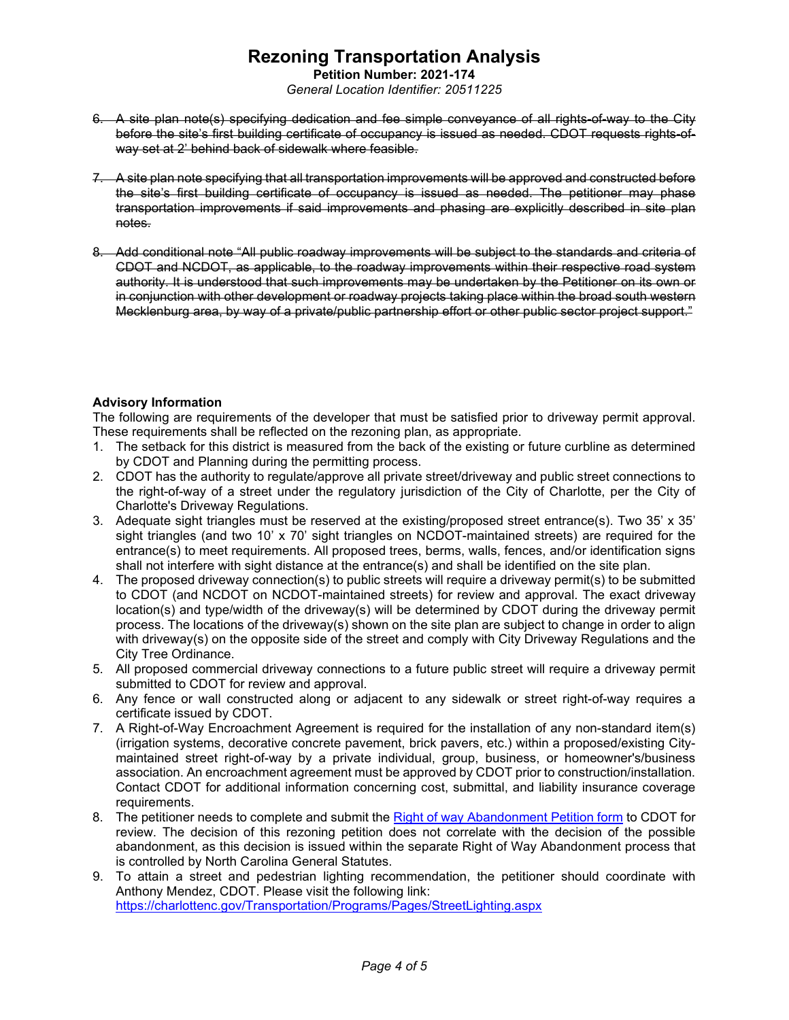**Petition Number: 2021-174** *General Location Identifier: 20511225*

- 6. A site plan note(s) specifying dedication and fee simple conveyance of all rights-of-way to the City before the site's first building certificate of occupancy is issued as needed. CDOT requests rights-ofway set at 2' behind back of sidewalk where feasible.
- 7. A site plan note specifying that all transportation improvements will be approved and constructed before the site's first building certificate of occupancy is issued as needed. The petitioner may phase transportation improvements if said improvements and phasing are explicitly described in site plan notes.
- 8. Add conditional note "All public roadway improvements will be subject to the standards and criteria of CDOT and NCDOT, as applicable, to the roadway improvements within their respective road system authority. It is understood that such improvements may be undertaken by the Petitioner on its own or in conjunction with other development or roadway projects taking place within the broad south western Mecklenburg area, by way of a private/public partnership effort or other public sector project support."

### **Advisory Information**

The following are requirements of the developer that must be satisfied prior to driveway permit approval. These requirements shall be reflected on the rezoning plan, as appropriate.

- 1. The setback for this district is measured from the back of the existing or future curbline as determined by CDOT and Planning during the permitting process.
- 2. CDOT has the authority to regulate/approve all private street/driveway and public street connections to the right-of-way of a street under the regulatory jurisdiction of the City of Charlotte, per the City of Charlotte's Driveway Regulations.
- 3. Adequate sight triangles must be reserved at the existing/proposed street entrance(s). Two 35' x 35' sight triangles (and two 10' x 70' sight triangles on NCDOT-maintained streets) are required for the entrance(s) to meet requirements. All proposed trees, berms, walls, fences, and/or identification signs shall not interfere with sight distance at the entrance(s) and shall be identified on the site plan.
- 4. The proposed driveway connection(s) to public streets will require a driveway permit(s) to be submitted to CDOT (and NCDOT on NCDOT-maintained streets) for review and approval. The exact driveway location(s) and type/width of the driveway(s) will be determined by CDOT during the driveway permit process. The locations of the driveway(s) shown on the site plan are subject to change in order to align with driveway(s) on the opposite side of the street and comply with City Driveway Regulations and the City Tree Ordinance.
- 5. All proposed commercial driveway connections to a future public street will require a driveway permit submitted to CDOT for review and approval.
- 6. Any fence or wall constructed along or adjacent to any sidewalk or street right-of-way requires a certificate issued by CDOT.
- 7. A Right-of-Way Encroachment Agreement is required for the installation of any non-standard item(s) (irrigation systems, decorative concrete pavement, brick pavers, etc.) within a proposed/existing Citymaintained street right-of-way by a private individual, group, business, or homeowner's/business association. An encroachment agreement must be approved by CDOT prior to construction/installation. Contact CDOT for additional information concerning cost, submittal, and liability insurance coverage requirements.
- 8. The petitioner needs to complete and submit the [Right of way Abandonment Petition form](https://charlottenc.gov/Transportation/Permits/Pages/RightofWayAbandonment.aspx) to CDOT for review. The decision of this rezoning petition does not correlate with the decision of the possible abandonment, as this decision is issued within the separate Right of Way Abandonment process that is controlled by North Carolina General Statutes.
- 9. To attain a street and pedestrian lighting recommendation, the petitioner should coordinate with Anthony Mendez, CDOT. Please visit the following link: <https://charlottenc.gov/Transportation/Programs/Pages/StreetLighting.aspx>

*Page 4 of 5*